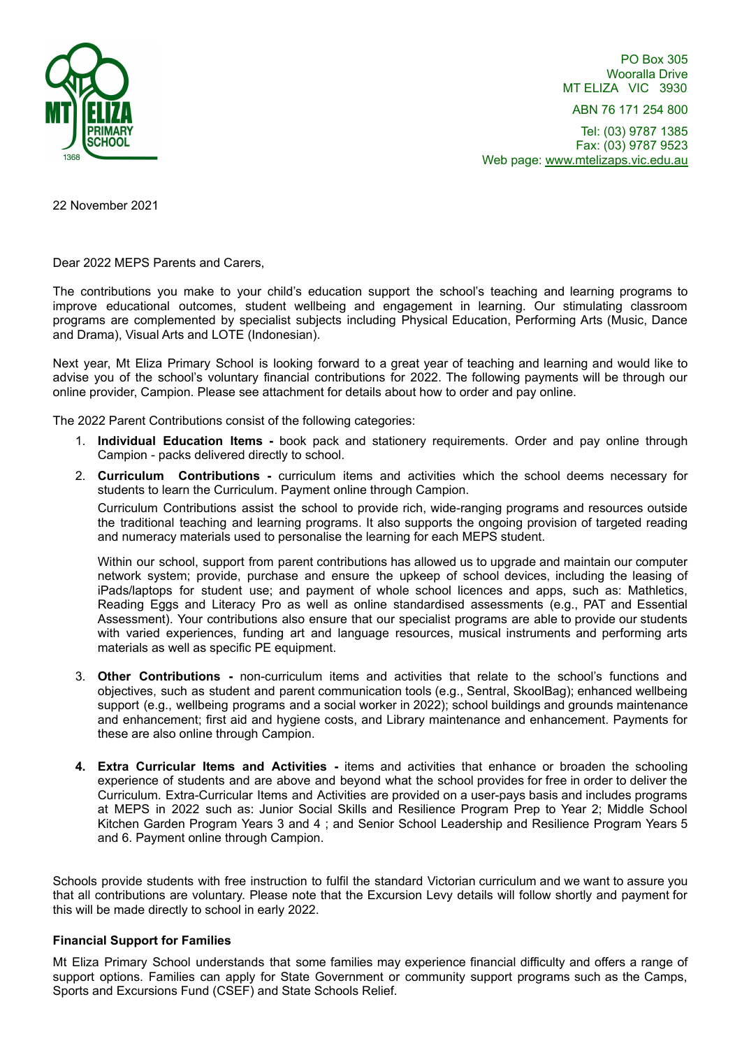

PO Box 305 Wooralla Drive MT ELIZA VIC 3930

ABN 76 171 254 800

Tel: (03) 9787 1385 Fax: (03) 9787 9523 Web page: www.mtelizaps.vic.edu.au

22 November 2021

Dear 2022 MEPS Parents and Carers,

The contributions you make to your child's education support the school's teaching and learning programs to improve educational outcomes, student wellbeing and engagement in learning. Our stimulating classroom programs are complemented by specialist subjects including Physical Education, Performing Arts (Music, Dance and Drama), Visual Arts and LOTE (Indonesian).

Next year, Mt Eliza Primary School is looking forward to a great year of teaching and learning and would like to advise you of the school's voluntary financial contributions for 2022. The following payments will be through our online provider, Campion. Please see attachment for details about how to order and pay online.

The 2022 Parent Contributions consist of the following categories:

- 1. **Individual Education Items -** book pack and stationery requirements. Order and pay online through Campion - packs delivered directly to school.
- 2. **Curriculum Contributions -** curriculum items and activities which the school deems necessary for students to learn the Curriculum. Payment online through Campion. Curriculum Contributions assist the school to provide rich, wide-ranging programs and resources outside

the traditional teaching and learning programs. It also supports the ongoing provision of targeted reading and numeracy materials used to personalise the learning for each MEPS student.

Within our school, support from parent contributions has allowed us to upgrade and maintain our computer network system; provide, purchase and ensure the upkeep of school devices, including the leasing of iPads/laptops for student use; and payment of whole school licences and apps, such as: Mathletics, Reading Eggs and Literacy Pro as well as online standardised assessments (e.g., PAT and Essential Assessment). Your contributions also ensure that our specialist programs are able to provide our students with varied experiences, funding art and language resources, musical instruments and performing arts materials as well as specific PE equipment.

- 3. **Other Contributions -** non-curriculum items and activities that relate to the school's functions and objectives, such as student and parent communication tools (e.g., Sentral, SkoolBag); enhanced wellbeing support (e.g., wellbeing programs and a social worker in 2022); school buildings and grounds maintenance and enhancement; first aid and hygiene costs, and Library maintenance and enhancement. Payments for these are also online through Campion.
- **4. Extra Curricular Items and Activities -** items and activities that enhance or broaden the schooling experience of students and are above and beyond what the school provides for free in order to deliver the Curriculum. Extra-Curricular Items and Activities are provided on a user-pays basis and includes programs at MEPS in 2022 such as: Junior Social Skills and Resilience Program Prep to Year 2; Middle School Kitchen Garden Program Years 3 and 4 ; and Senior School Leadership and Resilience Program Years 5 and 6. Payment online through Campion.

Schools provide students with free instruction to fulfil the standard Victorian curriculum and we want to assure you that all contributions are voluntary. Please note that the Excursion Levy details will follow shortly and payment for this will be made directly to school in early 2022.

#### **Financial Support for Families**

Mt Eliza Primary School understands that some families may experience financial difficulty and offers a range of support options. Families can apply for State Government or community support programs such as the Camps, Sports and Excursions Fund (CSEF) and State Schools Relief.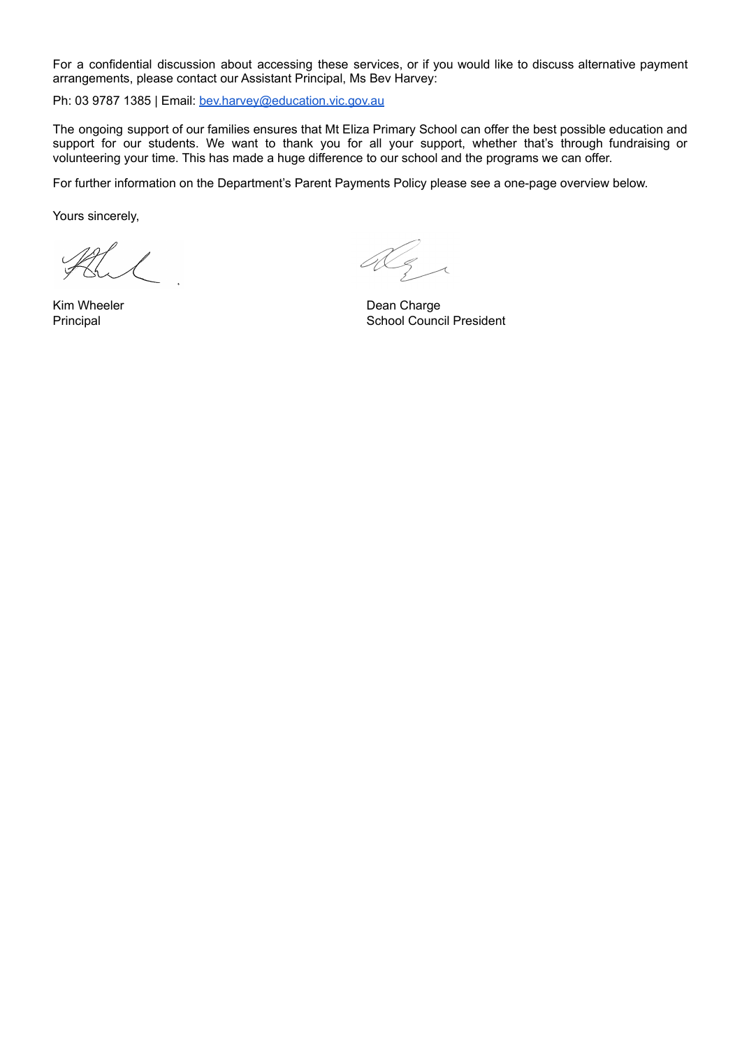For a confidential discussion about accessing these services, or if you would like to discuss alternative payment arrangements, please contact our Assistant Principal, Ms Bev Harvey:

Ph: 03 9787 1385 | Email: [bev.harvey@education.vic.gov.au](mailto:bev.harvey@education.vic.gov.au)

The ongoing support of our families ensures that Mt Eliza Primary School can offer the best possible education and support for our students. We want to thank you for all your support, whether that's through fundraising or volunteering your time. This has made a huge difference to our school and the programs we can offer.

For further information on the Department's Parent Payments Policy please see a one-page overview below.

Yours sincerely,

Dez

Kim Wheeler **Dean Charge Principal Council President** School Council President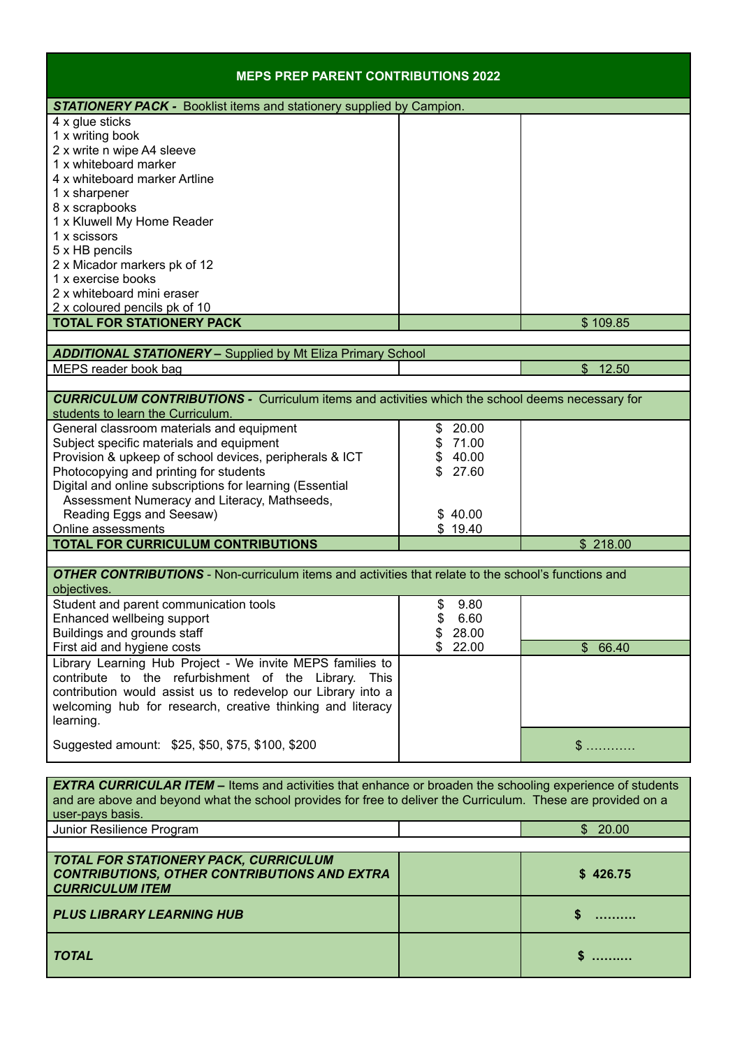| <b>MEPS PREP PARENT CONTRIBUTIONS 2022</b>                                                                                                                                                                                                            |                         |           |
|-------------------------------------------------------------------------------------------------------------------------------------------------------------------------------------------------------------------------------------------------------|-------------------------|-----------|
| <b>STATIONERY PACK -</b> Booklist items and stationery supplied by Campion.                                                                                                                                                                           |                         |           |
| 4 x glue sticks<br>1 x writing book<br>2 x write n wipe A4 sleeve<br>1 x whiteboard marker                                                                                                                                                            |                         |           |
| 4 x whiteboard marker Artline<br>1 x sharpener<br>8 x scrapbooks                                                                                                                                                                                      |                         |           |
| 1 x Kluwell My Home Reader<br>1 x scissors<br>5 x HB pencils                                                                                                                                                                                          |                         |           |
| 2 x Micador markers pk of 12<br>1 x exercise books<br>2 x whiteboard mini eraser<br>2 x coloured pencils pk of 10                                                                                                                                     |                         |           |
| <b>TOTAL FOR STATIONERY PACK</b>                                                                                                                                                                                                                      |                         | \$109.85  |
|                                                                                                                                                                                                                                                       |                         |           |
| <b>ADDITIONAL STATIONERY - Supplied by Mt Eliza Primary School</b>                                                                                                                                                                                    |                         |           |
| MEPS reader book bag                                                                                                                                                                                                                                  |                         | \$12.50   |
| <b>CURRICULUM CONTRIBUTIONS -</b> Curriculum items and activities which the school deems necessary for<br>students to learn the Curriculum.                                                                                                           |                         |           |
| General classroom materials and equipment                                                                                                                                                                                                             | 20.00<br>\$             |           |
| Subject specific materials and equipment                                                                                                                                                                                                              | \$71.00                 |           |
| Provision & upkeep of school devices, peripherals & ICT                                                                                                                                                                                               | \$40.00<br>$\mathbb{S}$ |           |
| Photocopying and printing for students<br>Digital and online subscriptions for learning (Essential                                                                                                                                                    | 27.60                   |           |
| Assessment Numeracy and Literacy, Mathseeds,                                                                                                                                                                                                          |                         |           |
| Reading Eggs and Seesaw)                                                                                                                                                                                                                              | \$40.00                 |           |
| Online assessments                                                                                                                                                                                                                                    | \$19.40                 |           |
| <b>TOTAL FOR CURRICULUM CONTRIBUTIONS</b>                                                                                                                                                                                                             |                         | \$218.00  |
|                                                                                                                                                                                                                                                       |                         |           |
| <b>OTHER CONTRIBUTIONS</b> - Non-curriculum items and activities that relate to the school's functions and<br>objectives.                                                                                                                             |                         |           |
| Student and parent communication tools                                                                                                                                                                                                                | \$<br>9.80              |           |
| Enhanced wellbeing support<br>Buildings and grounds staff                                                                                                                                                                                             | \$<br>6.60<br>28.00     |           |
| First aid and hygiene costs                                                                                                                                                                                                                           | 22.00                   | \$66.40   |
| Library Learning Hub Project - We invite MEPS families to<br>contribute to the refurbishment of the Library. This<br>contribution would assist us to redevelop our Library into a<br>welcoming hub for research, creative thinking and literacy       |                         |           |
| learning.<br>Suggested amount: \$25, \$50, \$75, \$100, \$200                                                                                                                                                                                         |                         | $\$\dots$ |
|                                                                                                                                                                                                                                                       |                         |           |
| <b>EXTRA CURRICULAR ITEM</b> – Items and activities that enhance or broaden the schooling experience of students<br>and are above and beyond what the school provides for free to deliver the Curriculum. These are provided on a<br>user-pays basis. |                         |           |
| Junior Resilience Program                                                                                                                                                                                                                             |                         | \$20.00   |
|                                                                                                                                                                                                                                                       |                         |           |
| TOTAL FOR STATIONERY PACK, CURRICULUM<br><b>CONTRIBUTIONS, OTHER CONTRIBUTIONS AND EXTRA</b><br><b>CURRICULUM ITEM</b>                                                                                                                                |                         | \$426.75  |
| <b>PLUS LIBRARY LEARNING HUB</b>                                                                                                                                                                                                                      |                         | S         |
| <b>TOTAL</b>                                                                                                                                                                                                                                          |                         | S.<br>.   |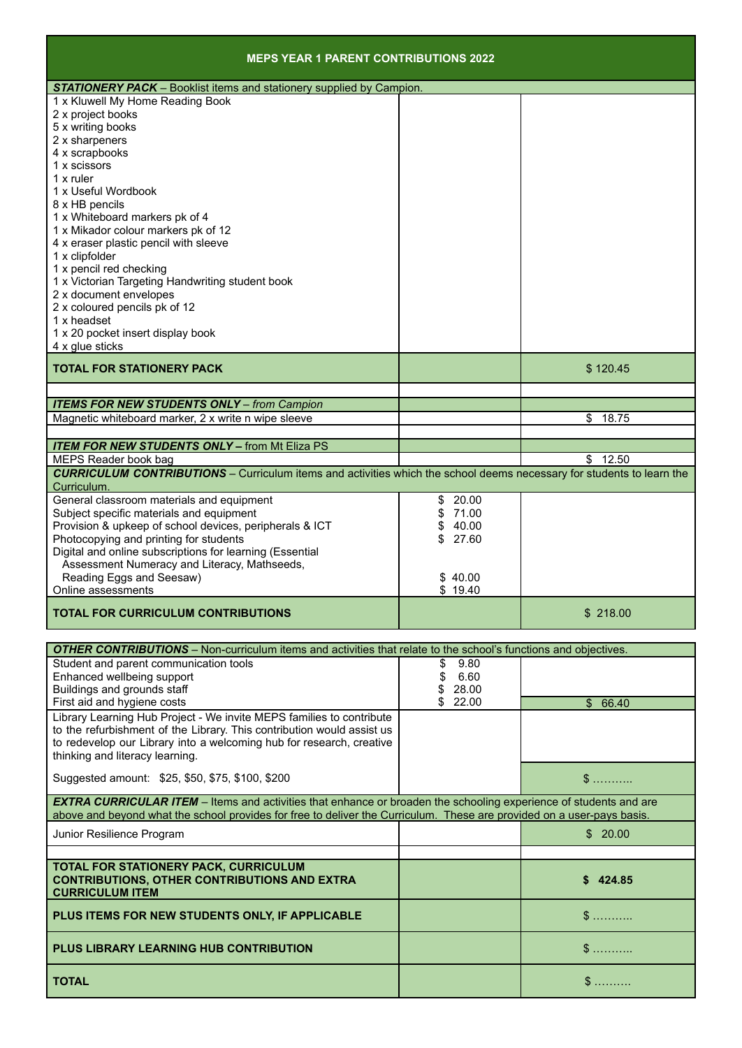| <b>MEPS YEAR 1 PARENT CONTRIBUTIONS 2022</b>                                                                                                                                                                                                       |                    |                          |
|----------------------------------------------------------------------------------------------------------------------------------------------------------------------------------------------------------------------------------------------------|--------------------|--------------------------|
| <b>STATIONERY PACK</b> - Booklist items and stationery supplied by Campion.                                                                                                                                                                        |                    |                          |
| 1 x Kluwell My Home Reading Book                                                                                                                                                                                                                   |                    |                          |
| 2 x project books                                                                                                                                                                                                                                  |                    |                          |
| 5 x writing books                                                                                                                                                                                                                                  |                    |                          |
| 2 x sharpeners                                                                                                                                                                                                                                     |                    |                          |
| 4 x scrapbooks<br>1 x scissors                                                                                                                                                                                                                     |                    |                          |
| $1x$ ruler                                                                                                                                                                                                                                         |                    |                          |
| 1 x Useful Wordbook                                                                                                                                                                                                                                |                    |                          |
| 8 x HB pencils                                                                                                                                                                                                                                     |                    |                          |
| 1 x Whiteboard markers pk of 4                                                                                                                                                                                                                     |                    |                          |
| 1 x Mikador colour markers pk of 12                                                                                                                                                                                                                |                    |                          |
| 4 x eraser plastic pencil with sleeve                                                                                                                                                                                                              |                    |                          |
| 1 x clipfolder                                                                                                                                                                                                                                     |                    |                          |
| 1 x pencil red checking                                                                                                                                                                                                                            |                    |                          |
| 1 x Victorian Targeting Handwriting student book                                                                                                                                                                                                   |                    |                          |
| 2 x document envelopes                                                                                                                                                                                                                             |                    |                          |
| 2 x coloured pencils pk of 12<br>1 x headset                                                                                                                                                                                                       |                    |                          |
| 1 x 20 pocket insert display book                                                                                                                                                                                                                  |                    |                          |
| 4 x glue sticks                                                                                                                                                                                                                                    |                    |                          |
| <b>TOTAL FOR STATIONERY PACK</b>                                                                                                                                                                                                                   |                    | \$120.45                 |
|                                                                                                                                                                                                                                                    |                    |                          |
| <b>ITEMS FOR NEW STUDENTS ONLY - from Campion</b>                                                                                                                                                                                                  |                    |                          |
| Magnetic whiteboard marker, 2 x write n wipe sleeve                                                                                                                                                                                                |                    | \$<br>18.75              |
|                                                                                                                                                                                                                                                    |                    |                          |
| <b>ITEM FOR NEW STUDENTS ONLY - from Mt Eliza PS</b>                                                                                                                                                                                               |                    |                          |
| MEPS Reader book bag                                                                                                                                                                                                                               |                    | \$12.50                  |
| <b>CURRICULUM CONTRIBUTIONS</b> – Curriculum items and activities which the school deems necessary for students to learn the<br>Curriculum.                                                                                                        |                    |                          |
| General classroom materials and equipment                                                                                                                                                                                                          | \$20.00            |                          |
| Subject specific materials and equipment                                                                                                                                                                                                           | \$71.00            |                          |
| Provision & upkeep of school devices, peripherals & ICT                                                                                                                                                                                            | \$40.00            |                          |
| Photocopying and printing for students                                                                                                                                                                                                             | 27.60<br>\$        |                          |
| Digital and online subscriptions for learning (Essential                                                                                                                                                                                           |                    |                          |
| Assessment Numeracy and Literacy, Mathseeds,                                                                                                                                                                                                       |                    |                          |
| Reading Eggs and Seesaw)<br>Online assessments                                                                                                                                                                                                     | \$40.00<br>\$19.40 |                          |
|                                                                                                                                                                                                                                                    |                    |                          |
| <b>TOTAL FOR CURRICULUM CONTRIBUTIONS</b>                                                                                                                                                                                                          |                    | \$218.00                 |
| <b>OTHER CONTRIBUTIONS</b> - Non-curriculum items and activities that relate to the school's functions and objectives.                                                                                                                             |                    |                          |
| Student and parent communication tools                                                                                                                                                                                                             | 9.80<br>\$         |                          |
| Enhanced wellbeing support                                                                                                                                                                                                                         | \$<br>6.60         |                          |
| Buildings and grounds staff                                                                                                                                                                                                                        | 28.00<br>\$        |                          |
| First aid and hygiene costs                                                                                                                                                                                                                        | \$22.00            | \$66.40                  |
| Library Learning Hub Project - We invite MEPS families to contribute                                                                                                                                                                               |                    |                          |
| to the refurbishment of the Library. This contribution would assist us                                                                                                                                                                             |                    |                          |
| to redevelop our Library into a welcoming hub for research, creative                                                                                                                                                                               |                    |                          |
| thinking and literacy learning.                                                                                                                                                                                                                    |                    |                          |
| Suggested amount: \$25, \$50, \$75, \$100, \$200                                                                                                                                                                                                   |                    | $\$\dots\dots\dots\dots$ |
| <b>EXTRA CURRICULAR ITEM</b> – Items and activities that enhance or broaden the schooling experience of students and are<br>above and beyond what the school provides for free to deliver the Curriculum. These are provided on a user-pays basis. |                    |                          |
|                                                                                                                                                                                                                                                    |                    |                          |
| Junior Resilience Program                                                                                                                                                                                                                          |                    | \$20.00                  |
|                                                                                                                                                                                                                                                    |                    |                          |
| TOTAL FOR STATIONERY PACK, CURRICULUM<br><b>CONTRIBUTIONS, OTHER CONTRIBUTIONS AND EXTRA</b><br><b>CURRICULUM ITEM</b>                                                                                                                             |                    | \$424.85                 |
| PLUS ITEMS FOR NEW STUDENTS ONLY, IF APPLICABLE                                                                                                                                                                                                    |                    | $\$\dots$                |
| <b>PLUS LIBRARY LEARNING HUB CONTRIBUTION</b>                                                                                                                                                                                                      |                    | $\$\dots\dots\dots$      |
| <b>TOTAL</b>                                                                                                                                                                                                                                       |                    | $\$\dots\dots\dots$      |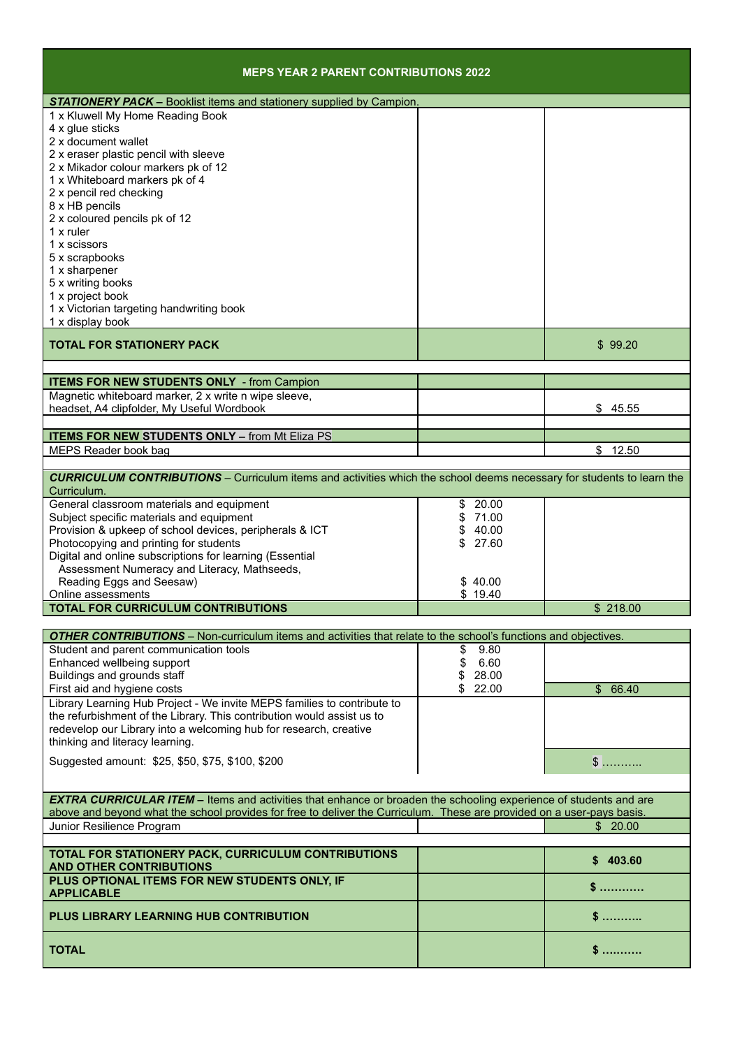| <b>MEPS YEAR 2 PARENT CONTRIBUTIONS 2022</b>                                                                                                                                                                                                       |                |           |
|----------------------------------------------------------------------------------------------------------------------------------------------------------------------------------------------------------------------------------------------------|----------------|-----------|
| <b>STATIONERY PACK - Booklist items and stationery supplied by Campion.</b>                                                                                                                                                                        |                |           |
| 1 x Kluwell My Home Reading Book<br>4 x glue sticks<br>2 x document wallet<br>2 x eraser plastic pencil with sleeve                                                                                                                                |                |           |
| 2 x Mikador colour markers pk of 12<br>1 x Whiteboard markers pk of 4<br>2 x pencil red checking                                                                                                                                                   |                |           |
| 8 x HB pencils<br>2 x coloured pencils pk of 12<br>$1x$ ruler<br>1 x scissors                                                                                                                                                                      |                |           |
| 5 x scrapbooks<br>1 x sharpener<br>5 x writing books<br>1 x project book                                                                                                                                                                           |                |           |
| 1 x Victorian targeting handwriting book<br>1 x display book                                                                                                                                                                                       |                |           |
| <b>TOTAL FOR STATIONERY PACK</b>                                                                                                                                                                                                                   |                | \$99.20   |
| <b>ITEMS FOR NEW STUDENTS ONLY - from Campion</b>                                                                                                                                                                                                  |                |           |
| Magnetic whiteboard marker, 2 x write n wipe sleeve,                                                                                                                                                                                               |                |           |
| headset, A4 clipfolder, My Useful Wordbook                                                                                                                                                                                                         |                | \$45.55   |
| <b>ITEMS FOR NEW STUDENTS ONLY - from Mt Eliza PS</b>                                                                                                                                                                                              |                |           |
| MEPS Reader book bag                                                                                                                                                                                                                               |                | \$12.50   |
| <b>CURRICULUM CONTRIBUTIONS</b> - Curriculum items and activities which the school deems necessary for students to learn the<br>Curriculum.                                                                                                        |                |           |
| General classroom materials and equipment                                                                                                                                                                                                          | 20.00<br>\$    |           |
| Subject specific materials and equipment                                                                                                                                                                                                           | 71.00          |           |
| Provision & upkeep of school devices, peripherals & ICT<br>Photocopying and printing for students                                                                                                                                                  | 40.00<br>27.60 |           |
| Digital and online subscriptions for learning (Essential                                                                                                                                                                                           |                |           |
| Assessment Numeracy and Literacy, Mathseeds,                                                                                                                                                                                                       |                |           |
| Reading Eggs and Seesaw)                                                                                                                                                                                                                           | \$40.00        |           |
| Online assessments                                                                                                                                                                                                                                 | \$19.40        |           |
| <b>TOTAL FOR CURRICULUM CONTRIBUTIONS</b>                                                                                                                                                                                                          |                | \$218.00  |
| <b>OTHER CONTRIBUTIONS</b> – Non-curriculum items and activities that relate to the school's functions and objectives.                                                                                                                             |                |           |
| Student and parent communication tools                                                                                                                                                                                                             | \$<br>9.80     |           |
| Enhanced wellbeing support                                                                                                                                                                                                                         | \$<br>6.60     |           |
| Buildings and grounds staff                                                                                                                                                                                                                        | 28.00          |           |
| First aid and hygiene costs<br>Library Learning Hub Project - We invite MEPS families to contribute to                                                                                                                                             | \$22.00        | \$66.40   |
| the refurbishment of the Library. This contribution would assist us to<br>redevelop our Library into a welcoming hub for research, creative                                                                                                        |                |           |
| thinking and literacy learning.                                                                                                                                                                                                                    |                |           |
| Suggested amount: \$25, \$50, \$75, \$100, \$200                                                                                                                                                                                                   |                | $\$\dots$ |
| <b>EXTRA CURRICULAR ITEM</b> – Items and activities that enhance or broaden the schooling experience of students and are<br>above and beyond what the school provides for free to deliver the Curriculum. These are provided on a user-pays basis. |                |           |
| Junior Resilience Program                                                                                                                                                                                                                          |                | \$20.00   |
|                                                                                                                                                                                                                                                    |                |           |
| TOTAL FOR STATIONERY PACK, CURRICULUM CONTRIBUTIONS<br><b>AND OTHER CONTRIBUTIONS</b>                                                                                                                                                              |                | \$403.60  |
| PLUS OPTIONAL ITEMS FOR NEW STUDENTS ONLY, IF<br><b>APPLICABLE</b>                                                                                                                                                                                 |                | s         |
| PLUS LIBRARY LEARNING HUB CONTRIBUTION                                                                                                                                                                                                             |                | \$        |
| <b>TOTAL</b>                                                                                                                                                                                                                                       |                | \$…………    |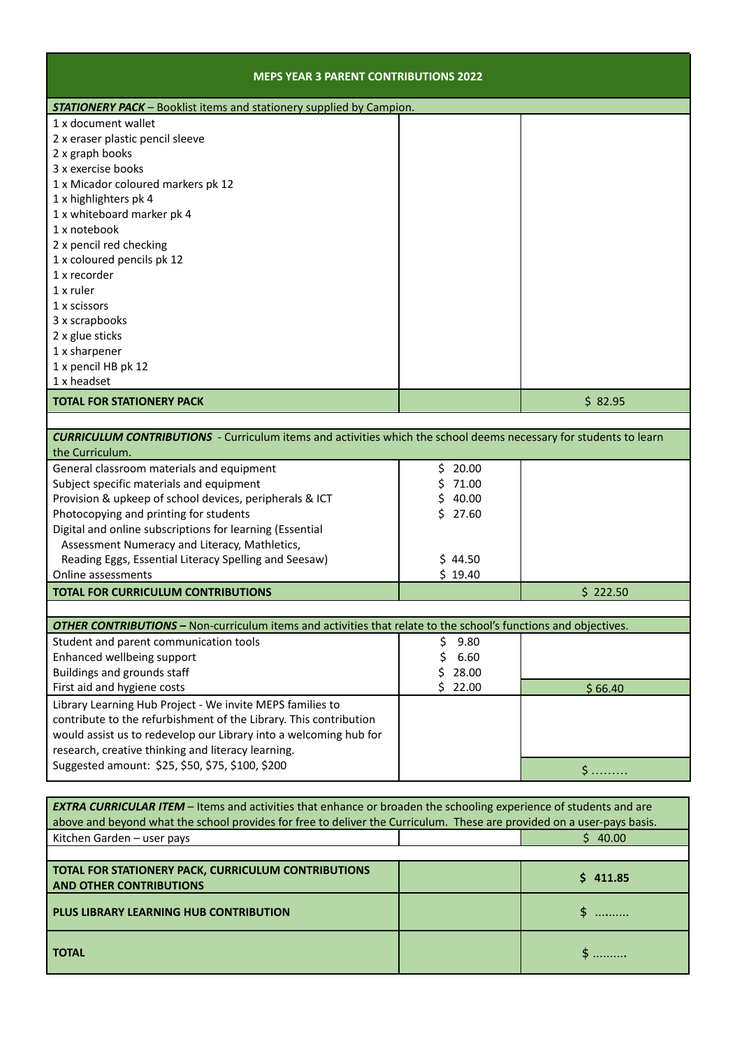| <b>MEPS YEAR 3 PARENT CONTRIBUTIONS 2022</b>                                                                                   |             |              |
|--------------------------------------------------------------------------------------------------------------------------------|-------------|--------------|
| <b>STATIONERY PACK</b> - Booklist items and stationery supplied by Campion.                                                    |             |              |
| 1 x document wallet<br>2 x eraser plastic pencil sleeve                                                                        |             |              |
| 2 x graph books<br>3 x exercise books                                                                                          |             |              |
| 1 x Micador coloured markers pk 12<br>1 x highlighters pk 4                                                                    |             |              |
| 1 x whiteboard marker pk 4<br>1 x notebook                                                                                     |             |              |
| 2 x pencil red checking<br>1 x coloured pencils pk 12                                                                          |             |              |
| 1 x recorder                                                                                                                   |             |              |
| 1 x ruler<br>1 x scissors                                                                                                      |             |              |
| 3 x scrapbooks<br>2 x glue sticks                                                                                              |             |              |
| 1 x sharpener                                                                                                                  |             |              |
| 1 x pencil HB pk 12<br>1 x headset                                                                                             |             |              |
| <b>TOTAL FOR STATIONERY PACK</b>                                                                                               |             | \$82.95      |
| <b>CURRICULUM CONTRIBUTIONS</b> - Curriculum items and activities which the school deems necessary for students to learn       |             |              |
| the Curriculum.                                                                                                                |             |              |
| General classroom materials and equipment                                                                                      | \$20.00     |              |
| Subject specific materials and equipment                                                                                       | Ś<br>71.00  |              |
| Provision & upkeep of school devices, peripherals & ICT                                                                        | \$<br>40.00 |              |
| Photocopying and printing for students                                                                                         | \$27.60     |              |
| Digital and online subscriptions for learning (Essential                                                                       |             |              |
| Assessment Numeracy and Literacy, Mathletics,                                                                                  |             |              |
| Reading Eggs, Essential Literacy Spelling and Seesaw)                                                                          | \$44.50     |              |
| Online assessments                                                                                                             | \$19.40     |              |
| <b>TOTAL FOR CURRICULUM CONTRIBUTIONS</b>                                                                                      |             | \$222.50     |
| <b>OTHER CONTRIBUTIONS</b> - Non-curriculum items and activities that relate to the school's functions and objectives.         |             |              |
| Student and parent communication tools                                                                                         | \$<br>9.80  |              |
| Enhanced wellbeing support                                                                                                     | \$<br>6.60  |              |
| Buildings and grounds staff                                                                                                    | \$<br>28.00 |              |
| First aid and hygiene costs                                                                                                    | \$22.00     | \$66.40      |
| Library Learning Hub Project - We invite MEPS families to<br>contribute to the refurbishment of the Library. This contribution |             |              |
| would assist us to redevelop our Library into a welcoming hub for                                                              |             |              |
| research, creative thinking and literacy learning.<br>Suggested amount: \$25, \$50, \$75, \$100, \$200                         |             |              |
|                                                                                                                                |             | $\mathsf{S}$ |
| <b>EXTRA CURRICULAR ITEM</b> - Items and activities that enhance or broaden the schooling experience of students and are       |             |              |
| above and beyond what the school provides for free to deliver the Curriculum. These are provided on a user-pays basis.         |             |              |
| Kitchen Garden - user pays                                                                                                     |             | \$40.00      |
| TOTAL FOR STATIONERY PACK, CURRICULUM CONTRIBUTIONS<br><b>AND OTHER CONTRIBUTIONS</b>                                          |             | \$411.85     |
| <b>PLUS LIBRARY LEARNING HUB CONTRIBUTION</b>                                                                                  |             | \$           |
| <b>TOTAL</b>                                                                                                                   |             | $$$          |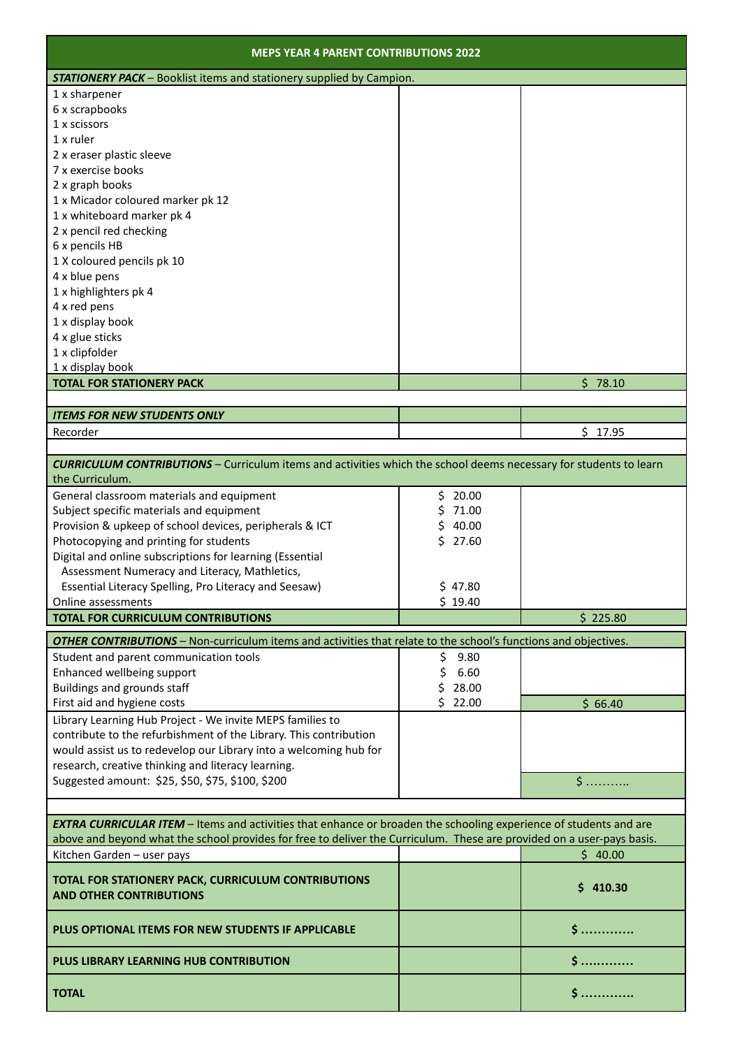| <b>MEPS YEAR 4 PARENT CONTRIBUTIONS 2022</b>                                                                             |             |          |
|--------------------------------------------------------------------------------------------------------------------------|-------------|----------|
| <b>STATIONERY PACK</b> - Booklist items and stationery supplied by Campion.                                              |             |          |
| 1 x sharpener                                                                                                            |             |          |
| 6 x scrapbooks                                                                                                           |             |          |
| 1 x scissors                                                                                                             |             |          |
| $1x$ ruler                                                                                                               |             |          |
| 2 x eraser plastic sleeve                                                                                                |             |          |
| 7 x exercise books                                                                                                       |             |          |
| 2 x graph books                                                                                                          |             |          |
| 1 x Micador coloured marker pk 12                                                                                        |             |          |
| 1 x whiteboard marker pk 4                                                                                               |             |          |
| 2 x pencil red checking                                                                                                  |             |          |
| 6 x pencils HB                                                                                                           |             |          |
| 1 X coloured pencils pk 10                                                                                               |             |          |
| 4 x blue pens                                                                                                            |             |          |
| 1 x highlighters pk 4                                                                                                    |             |          |
| 4 x red pens                                                                                                             |             |          |
| 1 x display book                                                                                                         |             |          |
| 4 x glue sticks                                                                                                          |             |          |
| 1 x clipfolder                                                                                                           |             |          |
| 1 x display book                                                                                                         |             |          |
| <b>TOTAL FOR STATIONERY PACK</b>                                                                                         |             | \$78.10  |
|                                                                                                                          |             |          |
| <b>ITEMS FOR NEW STUDENTS ONLY</b>                                                                                       |             |          |
| Recorder                                                                                                                 |             | \$17.95  |
|                                                                                                                          |             |          |
| <b>CURRICULUM CONTRIBUTIONS</b> - Curriculum items and activities which the school deems necessary for students to learn |             |          |
| the Curriculum.                                                                                                          |             |          |
| General classroom materials and equipment                                                                                | 20.00<br>\$ |          |
| Subject specific materials and equipment                                                                                 | 71.00       |          |
| Provision & upkeep of school devices, peripherals & ICT                                                                  | 40.00       |          |
| Photocopying and printing for students                                                                                   | Ś.<br>27.60 |          |
| Digital and online subscriptions for learning (Essential                                                                 |             |          |
| Assessment Numeracy and Literacy, Mathletics,                                                                            |             |          |
| Essential Literacy Spelling, Pro Literacy and Seesaw)                                                                    | \$47.80     |          |
| Online assessments                                                                                                       | \$19.40     |          |
| <b>TOTAL FOR CURRICULUM CONTRIBUTIONS</b>                                                                                |             | \$225.80 |
| <b>OTHER CONTRIBUTIONS</b> - Non-curriculum items and activities that relate to the school's functions and objectives.   |             |          |
| Student and parent communication tools                                                                                   | \$<br>9.80  |          |
| Enhanced wellbeing support                                                                                               | \$<br>6.60  |          |
| Buildings and grounds staff                                                                                              | 28.00       |          |
| First aid and hygiene costs                                                                                              | Ś.<br>22.00 | \$66.40  |
| Library Learning Hub Project - We invite MEPS families to                                                                |             |          |
| contribute to the refurbishment of the Library. This contribution                                                        |             |          |
| would assist us to redevelop our Library into a welcoming hub for                                                        |             |          |
| research, creative thinking and literacy learning.                                                                       |             |          |
| Suggested amount: \$25, \$50, \$75, \$100, \$200                                                                         |             | \$       |
|                                                                                                                          |             |          |
|                                                                                                                          |             |          |
| <b>EXTRA CURRICULAR ITEM</b> - Items and activities that enhance or broaden the schooling experience of students and are |             |          |
| above and beyond what the school provides for free to deliver the Curriculum. These are provided on a user-pays basis.   |             |          |
| Kitchen Garden - user pays                                                                                               |             | \$40.00  |
| TOTAL FOR STATIONERY PACK, CURRICULUM CONTRIBUTIONS                                                                      |             |          |
| <b>AND OTHER CONTRIBUTIONS</b>                                                                                           |             | \$410.30 |
|                                                                                                                          |             |          |
| PLUS OPTIONAL ITEMS FOR NEW STUDENTS IF APPLICABLE                                                                       |             |          |
|                                                                                                                          |             |          |
| PLUS LIBRARY LEARNING HUB CONTRIBUTION                                                                                   |             |          |
| <b>TOTAL</b>                                                                                                             |             | S        |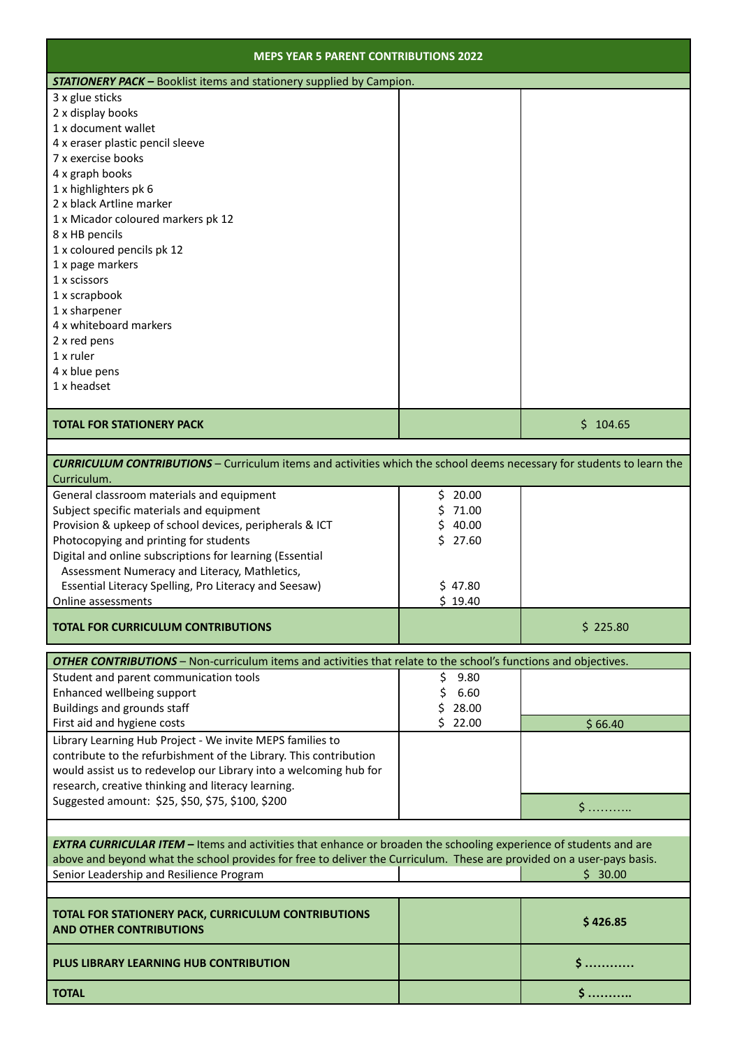| <b>MEPS YEAR 5 PARENT CONTRIBUTIONS 2022</b>                                                                                                |              |          |
|---------------------------------------------------------------------------------------------------------------------------------------------|--------------|----------|
| <b>STATIONERY PACK - Booklist items and stationery supplied by Campion.</b>                                                                 |              |          |
| 3 x glue sticks                                                                                                                             |              |          |
| 2 x display books                                                                                                                           |              |          |
| 1 x document wallet                                                                                                                         |              |          |
| 4 x eraser plastic pencil sleeve                                                                                                            |              |          |
| 7 x exercise books                                                                                                                          |              |          |
| 4 x graph books                                                                                                                             |              |          |
| 1 x highlighters pk 6                                                                                                                       |              |          |
| 2 x black Artline marker                                                                                                                    |              |          |
| 1 x Micador coloured markers pk 12                                                                                                          |              |          |
| 8 x HB pencils                                                                                                                              |              |          |
| 1 x coloured pencils pk 12                                                                                                                  |              |          |
| 1 x page markers                                                                                                                            |              |          |
| 1 x scissors                                                                                                                                |              |          |
| 1 x scrapbook                                                                                                                               |              |          |
| 1 x sharpener                                                                                                                               |              |          |
| 4 x whiteboard markers                                                                                                                      |              |          |
| 2 x red pens                                                                                                                                |              |          |
| $1x$ ruler                                                                                                                                  |              |          |
| 4 x blue pens                                                                                                                               |              |          |
| 1 x headset                                                                                                                                 |              |          |
|                                                                                                                                             |              |          |
| <b>TOTAL FOR STATIONERY PACK</b>                                                                                                            |              | \$104.65 |
| <b>CURRICULUM CONTRIBUTIONS</b> - Curriculum items and activities which the school deems necessary for students to learn the<br>Curriculum. | \$.<br>20.00 |          |
| General classroom materials and equipment<br>Subject specific materials and equipment                                                       | \$<br>71.00  |          |
| Provision & upkeep of school devices, peripherals & ICT                                                                                     | \$<br>40.00  |          |
| Photocopying and printing for students                                                                                                      | Ś<br>27.60   |          |
| Digital and online subscriptions for learning (Essential                                                                                    |              |          |
| Assessment Numeracy and Literacy, Mathletics,                                                                                               |              |          |
| Essential Literacy Spelling, Pro Literacy and Seesaw)                                                                                       | \$47.80      |          |
| Online assessments                                                                                                                          | \$19.40      |          |
| <b>TOTAL FOR CURRICULUM CONTRIBUTIONS</b>                                                                                                   |              | \$225.80 |
|                                                                                                                                             |              |          |
| <b>OTHER CONTRIBUTIONS</b> - Non-curriculum items and activities that relate to the school's functions and objectives.                      |              |          |
| Student and parent communication tools                                                                                                      | \$<br>9.80   |          |
| Enhanced wellbeing support                                                                                                                  | \$<br>6.60   |          |
| Buildings and grounds staff                                                                                                                 | \$<br>28.00  |          |
| First aid and hygiene costs                                                                                                                 | \$22.00      | \$66.40  |
| Library Learning Hub Project - We invite MEPS families to                                                                                   |              |          |
| contribute to the refurbishment of the Library. This contribution                                                                           |              |          |
| would assist us to redevelop our Library into a welcoming hub for                                                                           |              |          |
| research, creative thinking and literacy learning.                                                                                          |              |          |
| Suggested amount: \$25, \$50, \$75, \$100, \$200                                                                                            |              | \$…………   |
|                                                                                                                                             |              |          |
| <b>EXTRA CURRICULAR ITEM</b> - Items and activities that enhance or broaden the schooling experience of students and are                    |              |          |
| above and beyond what the school provides for free to deliver the Curriculum. These are provided on a user-pays basis.                      |              |          |
| Senior Leadership and Resilience Program                                                                                                    |              | \$30.00  |
|                                                                                                                                             |              |          |
| TOTAL FOR STATIONERY PACK, CURRICULUM CONTRIBUTIONS<br><b>AND OTHER CONTRIBUTIONS</b>                                                       |              | \$426.85 |

**PLUS LIBRARY LEARNING HUB CONTRIBUTION \$ …………**

**TOTAL \$ ………..**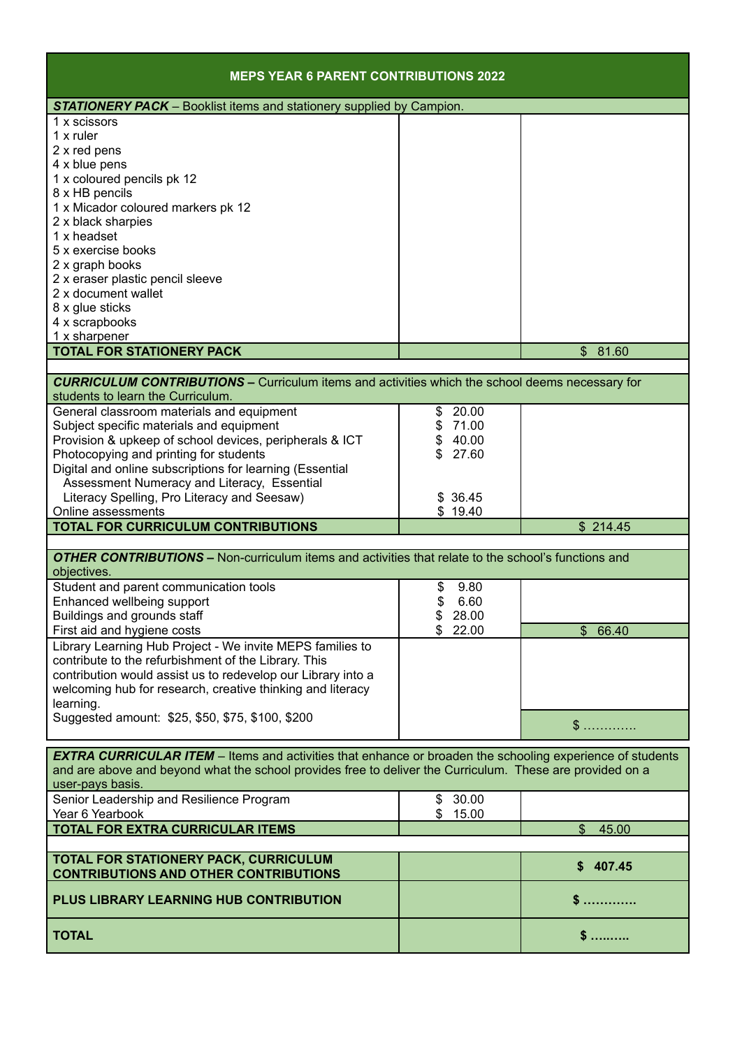| <b>MEPS YEAR 6 PARENT CONTRIBUTIONS 2022</b>                                                                                                |             |                         |
|---------------------------------------------------------------------------------------------------------------------------------------------|-------------|-------------------------|
| <b>STATIONERY PACK</b> – Booklist items and stationery supplied by Campion.                                                                 |             |                         |
| 1 x scissors                                                                                                                                |             |                         |
| $1x$ ruler                                                                                                                                  |             |                         |
| 2 x red pens                                                                                                                                |             |                         |
| 4 x blue pens                                                                                                                               |             |                         |
| 1 x coloured pencils pk 12                                                                                                                  |             |                         |
| 8 x HB pencils                                                                                                                              |             |                         |
| 1 x Micador coloured markers pk 12                                                                                                          |             |                         |
| 2 x black sharpies<br>1 x headset                                                                                                           |             |                         |
| 5 x exercise books                                                                                                                          |             |                         |
| 2 x graph books                                                                                                                             |             |                         |
| 2 x eraser plastic pencil sleeve                                                                                                            |             |                         |
| 2 x document wallet                                                                                                                         |             |                         |
| 8 x glue sticks                                                                                                                             |             |                         |
| 4 x scrapbooks                                                                                                                              |             |                         |
| 1 x sharpener                                                                                                                               |             |                         |
| <b>TOTAL FOR STATIONERY PACK</b>                                                                                                            |             | \$81.60                 |
|                                                                                                                                             |             |                         |
| <b>CURRICULUM CONTRIBUTIONS -</b> Curriculum items and activities which the school deems necessary for<br>students to learn the Curriculum. |             |                         |
| General classroom materials and equipment                                                                                                   | 20.00<br>\$ |                         |
| Subject specific materials and equipment                                                                                                    | \$71.00     |                         |
| Provision & upkeep of school devices, peripherals & ICT                                                                                     | \$40.00     |                         |
| Photocopying and printing for students                                                                                                      | \$<br>27.60 |                         |
| Digital and online subscriptions for learning (Essential                                                                                    |             |                         |
| Assessment Numeracy and Literacy, Essential                                                                                                 |             |                         |
| Literacy Spelling, Pro Literacy and Seesaw)                                                                                                 | \$ 36.45    |                         |
| Online assessments                                                                                                                          | \$19.40     |                         |
| <b>TOTAL FOR CURRICULUM CONTRIBUTIONS</b>                                                                                                   |             | \$214.45                |
| <b>OTHER CONTRIBUTIONS - Non-curriculum items and activities that relate to the school's functions and</b>                                  |             |                         |
| objectives.                                                                                                                                 |             |                         |
| Student and parent communication tools                                                                                                      | 9.80<br>\$  |                         |
| Enhanced wellbeing support                                                                                                                  | \$<br>6.60  |                         |
| Buildings and grounds staff                                                                                                                 | \$<br>28.00 |                         |
| First aid and hygiene costs                                                                                                                 | 22.00<br>\$ | \$66.40                 |
| Library Learning Hub Project - We invite MEPS families to                                                                                   |             |                         |
| contribute to the refurbishment of the Library. This                                                                                        |             |                         |
| contribution would assist us to redevelop our Library into a                                                                                |             |                         |
| welcoming hub for research, creative thinking and literacy                                                                                  |             |                         |
| learning.<br>Suggested amount: \$25, \$50, \$75, \$100, \$200                                                                               |             |                         |
|                                                                                                                                             |             | $\mathbb{S}$            |
| <b>EXTRA CURRICULAR ITEM</b> – Items and activities that enhance or broaden the schooling experience of students                            |             |                         |
| and are above and beyond what the school provides free to deliver the Curriculum. These are provided on a                                   |             |                         |
| user-pays basis.                                                                                                                            |             |                         |
| Senior Leadership and Resilience Program                                                                                                    | 30.00<br>\$ |                         |
| Year 6 Yearbook                                                                                                                             | \$<br>15.00 |                         |
| TOTAL FOR EXTRA CURRICULAR ITEMS                                                                                                            |             | $\mathfrak{L}$<br>45.00 |
| TOTAL FOR STATIONERY PACK, CURRICULUM                                                                                                       |             | \$407.45                |
| <b>CONTRIBUTIONS AND OTHER CONTRIBUTIONS</b>                                                                                                |             |                         |
| PLUS LIBRARY LEARNING HUB CONTRIBUTION                                                                                                      |             | \$……………                 |
| <b>TOTAL</b>                                                                                                                                |             | $\mathsf{\$}$           |